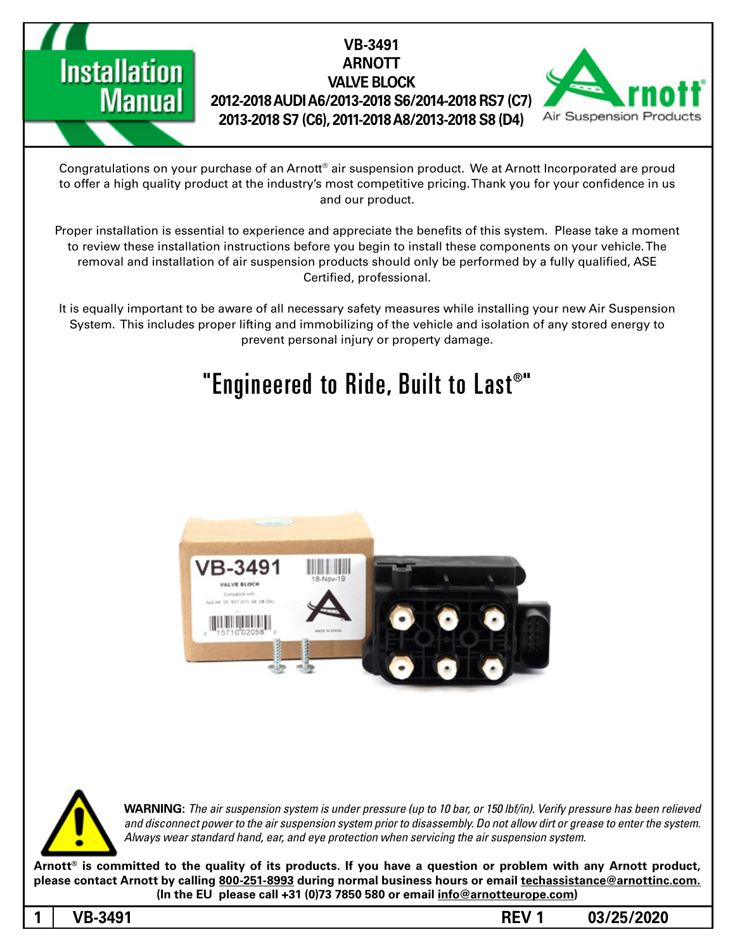### **VB-3491 ARNOTT VALVE BLOCK (7C (7RS 6/2014-2018S 6/2013-2018A AUDI 2012-2018** 2013-2018 S7 (C6), 2011-2018 A8/2013-2018 S8 (D4)



Congratulations on your purchase of an Arnott® air suspension product. We at Arnott Incorporated are proud to offer a high quality product at the industry's most competitive pricing. Thank you for your confidence in us and our product.

Proper installation is essential to experience and appreciate the benefits of this system. Please take a moment to review these installation instructions before you begin to install these components on your vehicle. The removal and installation of air suspension products should only be performed by a fully qualified, ASE Certified, professional.

It is equally important to be aware of all necessary safety measures while installing your new Air Suspension System. This includes proper lifting and immobilizing of the vehicle and isolation of any stored energy to prevent personal injury or property damage.

# "Engineered to Ride, Built to Last $^{\circ}$ "





*WARNING: The air suspension system is under pressure (up to 10 bar, or 150 lbf/in). Verify pressure has been relieved* and disconnect power to the air suspension system prior to disassembly. Do not allow dirt or grease to enter the system. Always wear standard hand, ear, and eye protection when servicing the air suspension system.

Arnott<sup>®</sup> is committed to the quality of its products. If you have a question or problem with any Arnott product, please contact Arnott by calling 800-251-8993 during normal business hours or email techassistance@arnottinc.com. (In the EU please call +31 (0)73 7850 580 or email info@arnotteurope.com)

**Installation** 

**Manual** 

**03/25/2020 1 REV -3491VB 1**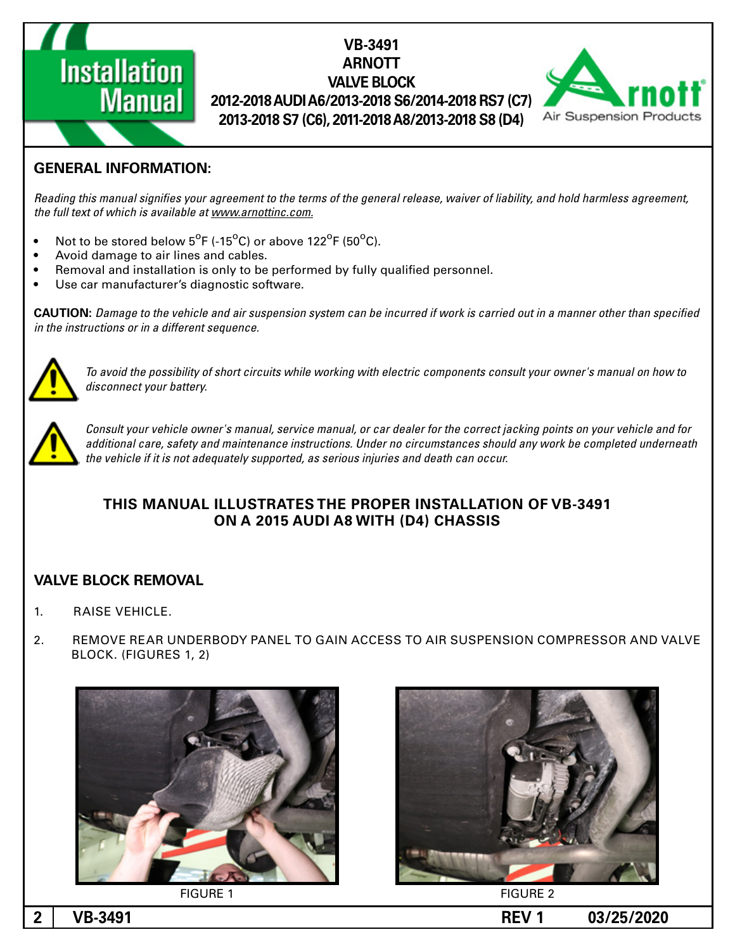

# **VB-3491 ARNOTT VALVE BLOCK (7C (7RS 6/2014-2018S 6/2013-2018A AUDI 2012-2018**  $2013-2018$  S7 (C6), 2011-2018 A8/2013-2018 S8 (D4)



## **GENERAL INFORMATION:**

Reading this manual signifies your agreement to the terms of the general release, waiver of liability, and hold harmless agreement, the full text of which is available at www.arnottinc.com.

- Not to be stored below  $5^{\circ}$ F (-15 $^{\circ}$ C) or above 122 $^{\circ}$ F (50 $^{\circ}$ C).
- Avoid damage to air lines and cables.
- Removal and installation is only to be performed by fully qualified personnel.
- Use car manufacturer's diagnostic software.

**CAUTION:** Damage to the vehicle and air suspension system can be incurred if work is carried out in a manner other than specified *in the instructions or in a different sequence.* 



 *to how on manual s'owner your consult components electric with working while circuits short of possibility the avoid To* disconnect your battery.



Consult your vehicle owner's manual, service manual, or car dealer for the correct jacking points on your vehicle and for additional care, safety and maintenance instructions. Under no circumstances should any work be completed underneath the vehicle if it is not adequately supported, as serious injuries and death can occur.

#### **THIS MANUAL ILLUSTRATES THE PROPER INSTALLATION OF VB-3491 ON A 2015 AUDI A8 WITH (D4) CHASSIS**

#### **VALVE BLOCK REMOVAL**

- 1. RAISE VEHICLE.
- 2. REMOVE REAR UNDERBODY PANEL TO GAIN ACCESS TO AIR SUSPENSION COMPRESSOR AND VALVE BLOCK. (FIGURES 1, 2)







2 NB-3491 **2 NB-3491**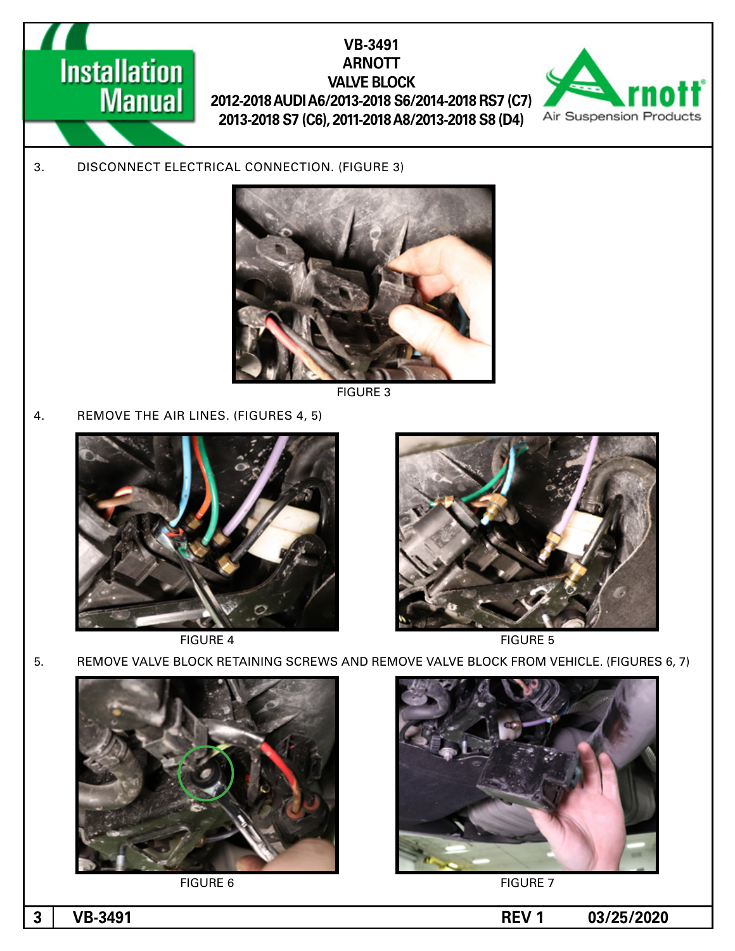

3. DISCONNECT ELECTRICAL CONNECTION. (FIGURE 3)



**FIGURE 3** 

4. REMOVE THE AIR LINES. (FIGURES 4, 5)





FIGURE 4 FIGURE 5

5. REMOVE VALVE BLOCK RETAINING SCREWS AND REMOVE VALVE BLOCK FROM VEHICLE. (FIGURES 6, 7)



FIGURE 6 FIGURE 7



**1 03/25/2020 REV 1 03/25/2020**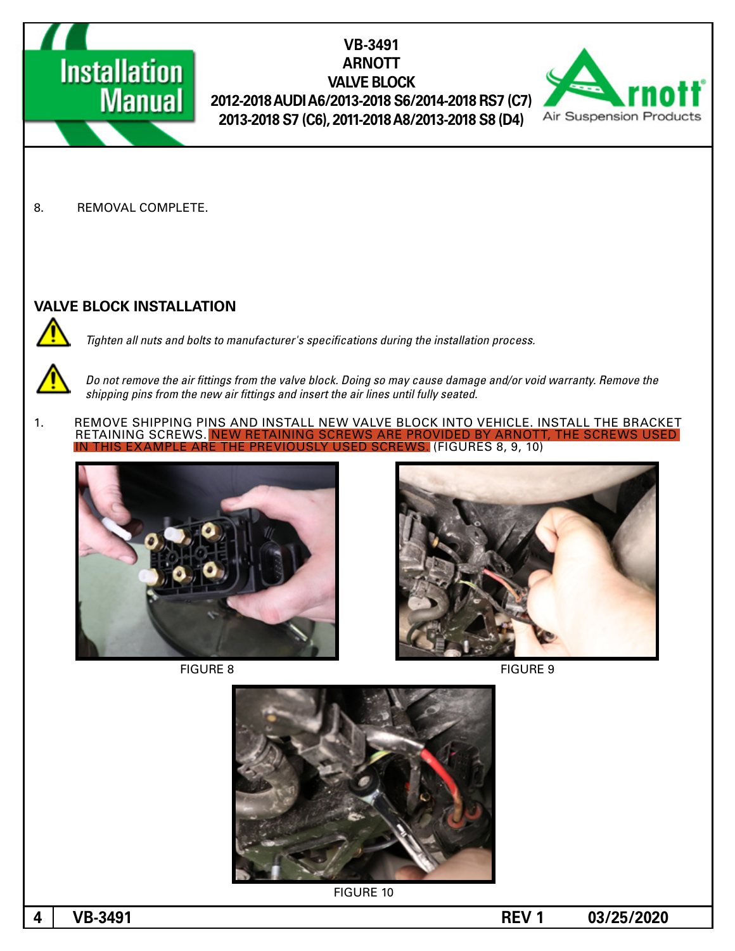

8. REMOVAL COMPLETE.

#### **VALVE BLOCK INSTALLATION**

Tighten all nuts and bolts to manufacturer's specifications during the installation process.



Do not remove the air fittings from the valve block. Doing so may cause damage and/or void warranty. Remove the shipping pins from the new air fittings and insert the air lines until fully seated.

1. REMOVE SHIPPING PINS AND INSTALL NEW VALVE BLOCK INTO VEHICLE. INSTALL THE BRACKET<br>RETAINING SCREWS. NEW RETAINING SCREWS ARE PROVIDED BY ARNOTT. THE SCREWS USED RETAINING SCREWS. NEW RE **S.** (FIGURES 8, 9, 10)



FIGURE 8 FIGURE 9







**FIGURE 10** 

**03/25/2020 1 REV -3491VB 4**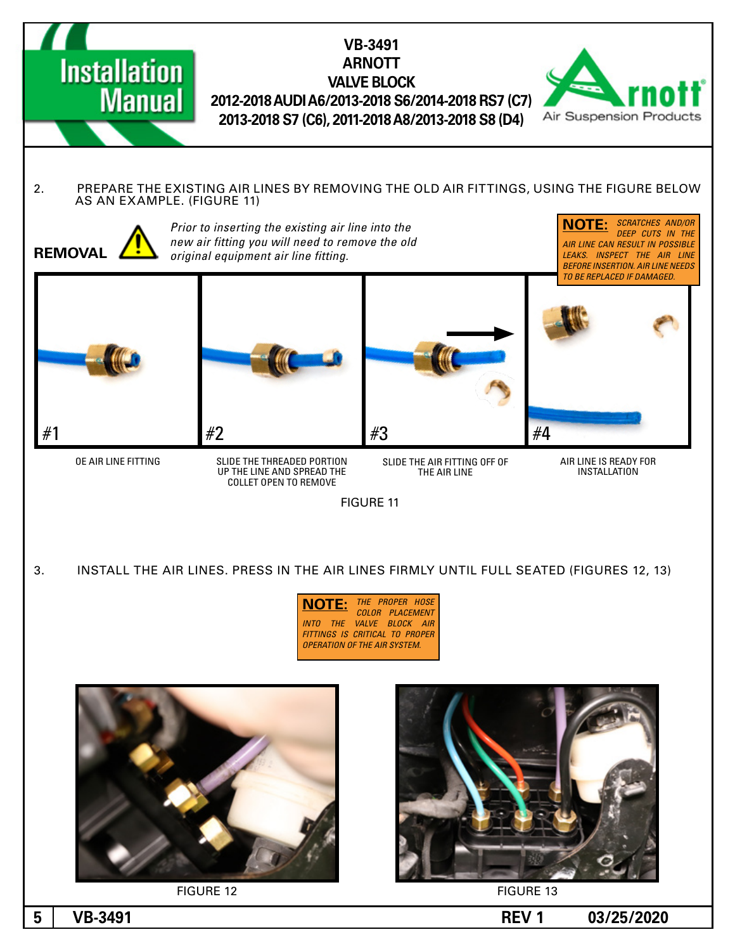